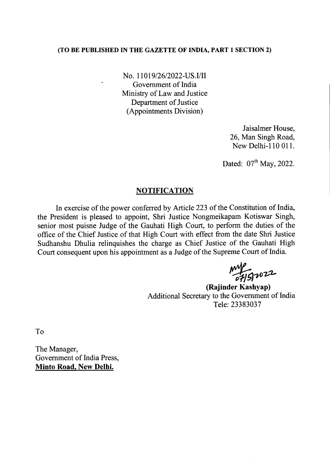## (TO BE PUBLISHED IN THE GAZETTE OF INDIA, PART 1 SECTION 2)

No. *11019/26/2022-US.I/II* Government of India Ministry of Law and Justice Department of Justice (Appointments Division)

> Jaisalmer House, 26, Man Singh Road, New Delhi-110 OIl.

Dated:  $07<sup>th</sup>$  May, 2022.

## **NOTIFICATION**

In exercise of the power conferred by Article 223 of the Constitution of India, the President is pleased to appoint, Shri Justice Nongmeikapam Kotiswar Singh, senior most puisne Judge of the Gauhati High Court, to perform the duties of the office of the Chief Justice of that High Court with effect from the date Shri Justice Sudhanshu Dhulia relinquishes the charge as Chief Justice of the Gauhati High Court consequent upon his appointment as a Judge of the Supreme Court of India.

my<br>07151022

(Rajinder Kashyap) Additional Secretary to the Government of India Tele: 23383037

To

The Manager, Government of India Press, Minto Road, New Delhi.